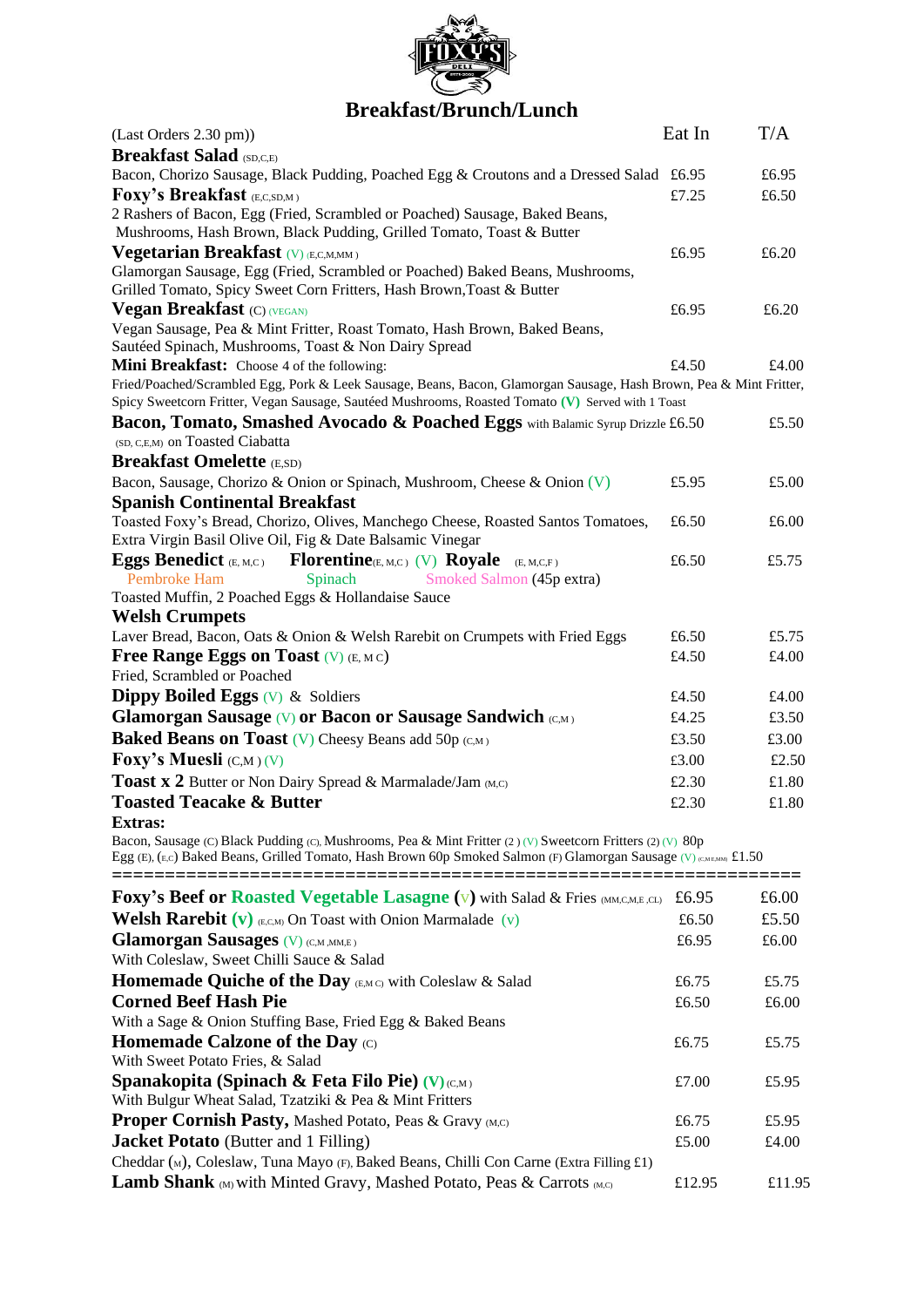

# **Breakfast/Brunch/Lunch**

| (Last Orders 2.30 pm))                                                                                                                                                                                                            | Eat In | T/A   |
|-----------------------------------------------------------------------------------------------------------------------------------------------------------------------------------------------------------------------------------|--------|-------|
| <b>Breakfast Salad (SD,C,E)</b>                                                                                                                                                                                                   |        |       |
| Bacon, Chorizo Sausage, Black Pudding, Poached Egg & Croutons and a Dressed Salad £6.95                                                                                                                                           |        | £6.95 |
| <b>Foxy's Breakfast (E,C,SD,M)</b>                                                                                                                                                                                                | £7.25  | £6.50 |
| 2 Rashers of Bacon, Egg (Fried, Scrambled or Poached) Sausage, Baked Beans,<br>Mushrooms, Hash Brown, Black Pudding, Grilled Tomato, Toast & Butter                                                                               |        |       |
| Vegetarian Breakfast (V) (E,C,M,MM)                                                                                                                                                                                               | £6.95  | £6.20 |
| Glamorgan Sausage, Egg (Fried, Scrambled or Poached) Baked Beans, Mushrooms,<br>Grilled Tomato, Spicy Sweet Corn Fritters, Hash Brown, Toast & Butter                                                                             |        |       |
| <b>Vegan Breakfast (C) (VEGAN)</b>                                                                                                                                                                                                | £6.95  | £6.20 |
| Vegan Sausage, Pea & Mint Fritter, Roast Tomato, Hash Brown, Baked Beans,<br>Sautéed Spinach, Mushrooms, Toast & Non Dairy Spread                                                                                                 |        |       |
| Mini Breakfast: Choose 4 of the following:                                                                                                                                                                                        | £4.50  | £4.00 |
| Fried/Poached/Scrambled Egg, Pork & Leek Sausage, Beans, Bacon, Glamorgan Sausage, Hash Brown, Pea & Mint Fritter,                                                                                                                |        |       |
| Spicy Sweetcorn Fritter, Vegan Sausage, Sautéed Mushrooms, Roasted Tomato (V) Served with 1 Toast                                                                                                                                 |        |       |
| Bacon, Tomato, Smashed Avocado & Poached Eggs with Balamic Syrup Drizzle £6.50                                                                                                                                                    |        | £5.50 |
| (SD, C, E, M) on Toasted Ciabatta                                                                                                                                                                                                 |        |       |
| <b>Breakfast Omelette (E,SD)</b>                                                                                                                                                                                                  |        |       |
| Bacon, Sausage, Chorizo & Onion or Spinach, Mushroom, Cheese & Onion (V)<br><b>Spanish Continental Breakfast</b>                                                                                                                  | £5.95  | £5.00 |
| Toasted Foxy's Bread, Chorizo, Olives, Manchego Cheese, Roasted Santos Tomatoes,                                                                                                                                                  | £6.50  | £6.00 |
| Extra Virgin Basil Olive Oil, Fig & Date Balsamic Vinegar                                                                                                                                                                         |        |       |
| $\mathbf{Florentine}_{\text{CE, M, C}}$ (V) Royale<br><b>Eggs Benedict</b> $(E, M, C)$<br>(E, M, C, F)                                                                                                                            | £6.50  | £5.75 |
| <b>Pembroke Ham</b><br>Spinach<br>Smoked Salmon (45p extra)                                                                                                                                                                       |        |       |
| Toasted Muffin, 2 Poached Eggs & Hollandaise Sauce                                                                                                                                                                                |        |       |
| <b>Welsh Crumpets</b>                                                                                                                                                                                                             |        |       |
| Laver Bread, Bacon, Oats & Onion & Welsh Rarebit on Crumpets with Fried Eggs                                                                                                                                                      | £6.50  | £5.75 |
| Free Range Eggs on Toast $(V)$ (E, MC)                                                                                                                                                                                            | £4.50  | £4.00 |
| Fried, Scrambled or Poached                                                                                                                                                                                                       |        |       |
| <b>Dippy Boiled Eggs</b> $(V)$ & Soldiers                                                                                                                                                                                         | £4.50  | £4.00 |
| <b>Glamorgan Sausage (V) or Bacon or Sausage Sandwich (C,M)</b>                                                                                                                                                                   | £4.25  | £3.50 |
| <b>Baked Beans on Toast</b> (V) Cheesy Beans add 50p $(C,M)$                                                                                                                                                                      | £3.50  | £3.00 |
| Foxy's Muesli $(C,M)$ (V)                                                                                                                                                                                                         | £3.00  | £2.50 |
| <b>Toast x 2</b> Butter or Non Dairy Spread & Marmalade/Jam (M,C)                                                                                                                                                                 | £2.30  | £1.80 |
| <b>Toasted Teacake &amp; Butter</b>                                                                                                                                                                                               | £2.30  | £1.80 |
| <b>Extras:</b>                                                                                                                                                                                                                    |        |       |
| Bacon, Sausage (C) Black Pudding (C), Mushrooms, Pea & Mint Fritter (2) (V) Sweetcorn Fritters (2) (V) 80p<br>Egg (E), (E,c) Baked Beans, Grilled Tomato, Hash Brown 60p Smoked Salmon (F) Glamorgan Sausage (V) (CAI EMBA) £1.50 |        |       |
| <b>Foxy's Beef or Roasted Vegetable Lasagne (v)</b> with Salad & Fries (MM,C,M,E,CL)                                                                                                                                              | £6.95  | £6.00 |
| <b>Welsh Rarebit</b> (v) $(E,C,M)$ On Toast with Onion Marmalade (v)                                                                                                                                                              | £6.50  | £5.50 |
| <b>Glamorgan Sausages</b> (V) (C,M, MM,E)                                                                                                                                                                                         | £6.95  | £6.00 |
| With Coleslaw, Sweet Chilli Sauce & Salad                                                                                                                                                                                         |        |       |
| <b>Homemade Quiche of the Day (E,MC)</b> with Coleslaw & Salad                                                                                                                                                                    | £6.75  | £5.75 |
| <b>Corned Beef Hash Pie</b>                                                                                                                                                                                                       | £6.50  | £6.00 |
| With a Sage & Onion Stuffing Base, Fried Egg & Baked Beans                                                                                                                                                                        |        |       |
| Homemade Calzone of the Day $(C)$                                                                                                                                                                                                 | £6.75  | £5.75 |
| With Sweet Potato Fries, & Salad                                                                                                                                                                                                  |        |       |
| Spanakopita (Spinach & Feta Filo Pie) (V) (C,M)                                                                                                                                                                                   | £7.00  | £5.95 |
| With Bulgur Wheat Salad, Tzatziki & Pea & Mint Fritters                                                                                                                                                                           |        |       |
| Proper Cornish Pasty, Mashed Potato, Peas & Gravy (M,C)                                                                                                                                                                           | £6.75  | £5.95 |

**Jacket Potato** (Butter and 1 Filling)  $£5.00$   $£4.00$ Cheddar (M), Coleslaw, Tuna Mayo (F), Baked Beans, Chilli Con Carne (Extra Filling £1) **Lamb Shank** (M) with Minted Gravy, Mashed Potato, Peas & Carrots (M,C)  $\qquad 12.95$  £11.95